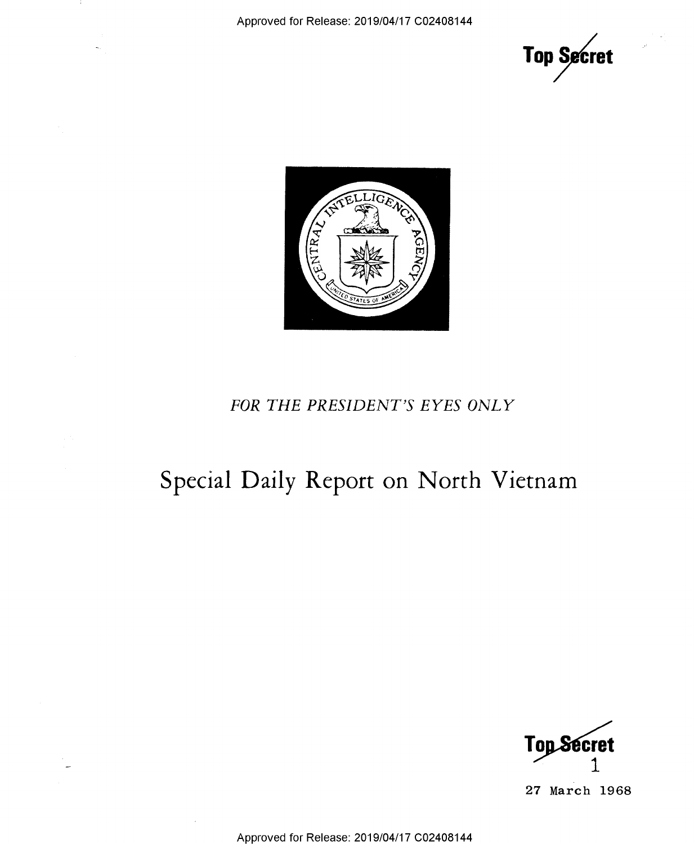



## FOR THE PRESIDENT'S EYES ONLY

# Special Daily Report on North Vietnam



27 March 1968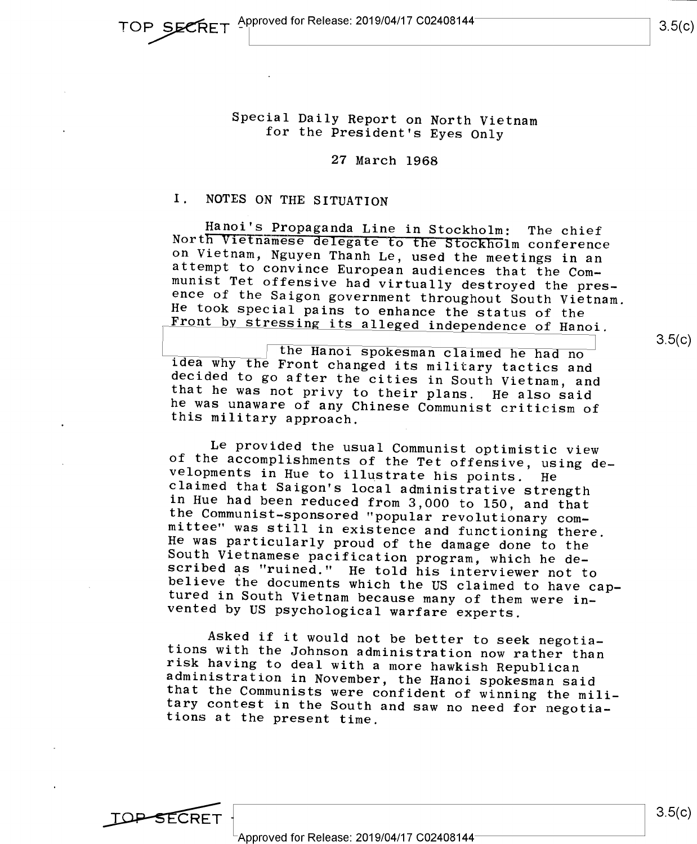# Special Daily Report on North Vietnam for the President's Eyes Only

#### 27 March 1968

### I. NOTES ON THE SITUATION

Hanoi's Propaganda Line in Stockholm: The chief<br>North Vietnamese delegate to the Stockholm conference<br>on Vietnam, Nguyen Thanh Le, used the meetings in an<br>attempt to convince European audiences that the Com-<br>munist Tet off

the Hanoi spokesman claimed he had no<br>idea why the Front changed its military tactics and<br>decided to go after the cities in South Vietnam, and<br>that he was not privy to their plans. He also said<br>he was unaware of any Chines

Le provided the usual Communist optimistic view<br>of the accomplishments of the Tet offensive, using de-<br>velopments in Hue to illustrate his points. He<br>claimed that Saigon's local administrative strength<br>in Hue had been redu

Asked if it would not be better to seek negotia-<br>tions with the Johnson administration now rather than<br>risk having to deal with a more hawkish Republican<br>administration in November, the Hanoi spokesman said<br>that the Commun

 $3.5(c)$ 

**c**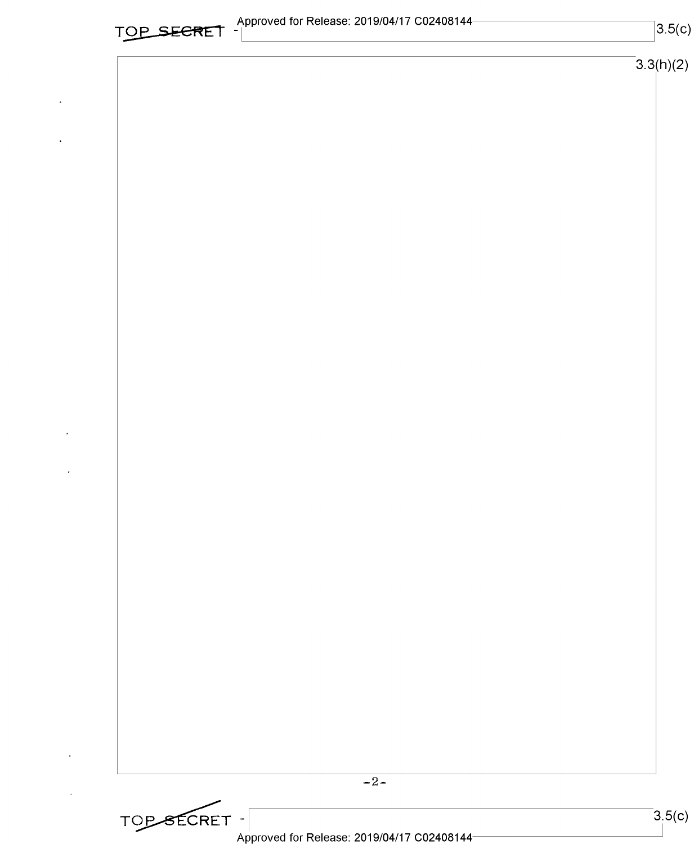|  | TOP SECRET |  |
|--|------------|--|

## $3.3(h)(2)$

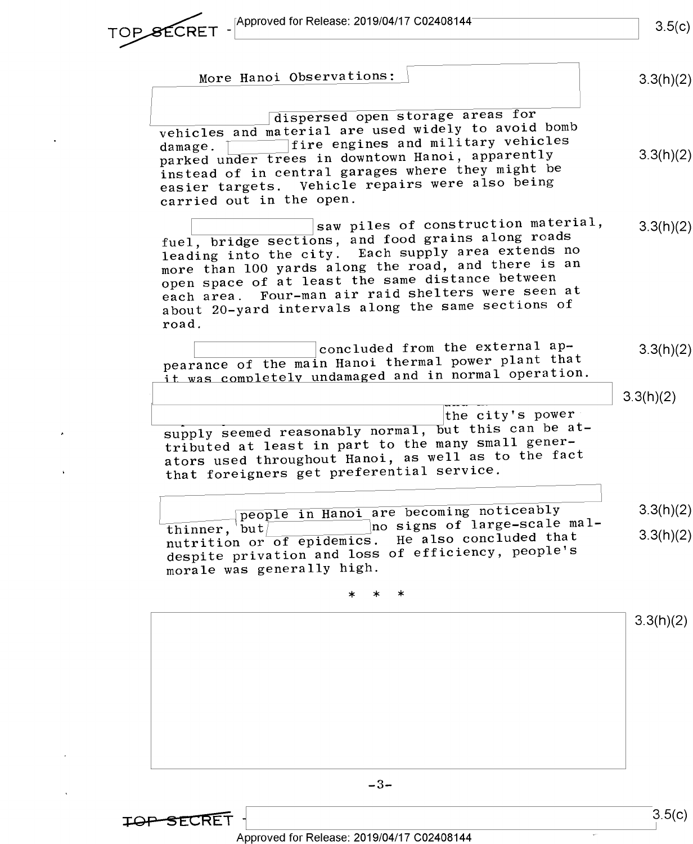$\ddot{\phantom{a}}$ 

 $\hat{\boldsymbol{\theta}}$ 

 $\hat{\mathbf{r}}$ 

 $\ddot{\phantom{a}}$ 

TOP SECRET

| More Hanoi Observations:                                                                                                                                                                                                                                                                                                                                                        | 3.3(h)(2) |
|---------------------------------------------------------------------------------------------------------------------------------------------------------------------------------------------------------------------------------------------------------------------------------------------------------------------------------------------------------------------------------|-----------|
|                                                                                                                                                                                                                                                                                                                                                                                 |           |
| dispersed open storage areas for<br>vehicles and material are used widely to avoid bomb<br>fire engines and military vehicles<br>damage.<br>parked under trees in downtown Hanoi, apparently<br>instead of in central garages where they might be<br>easier targets. Vehicle repairs were also being<br>carried out in the open.                                                | 3.3(h)(2) |
| saw piles of construction material,<br>fuel, bridge sections, and food grains along roads<br>leading into the city. Each supply area extends no<br>more than 100 yards along the road, and there is an<br>open space of at least the same distance between<br>each area. Four-man air raid shelters were seen at<br>about 20-yard intervals along the same sections of<br>road. | 3.3(h)(2) |
| concluded from the external ap-<br>pearance of the main Hanoi thermal power plant that<br>it was completely undamaged and in normal operation.                                                                                                                                                                                                                                  | 3.3(h)(2) |
|                                                                                                                                                                                                                                                                                                                                                                                 | 3.3(h)(2) |
| the city's power<br>supply seemed reasonably normal, but this can be at-<br>tributed at least in part to the many small gener-<br>ators used throughout Hanoi, as well as to the fact<br>that foreigners get preferential service.                                                                                                                                              |           |
| people in Hanoi are becoming noticeably                                                                                                                                                                                                                                                                                                                                         | 3.3(h)(2) |
| no signs of large-scale mal-<br>$\overline{\mathtt{thinner}}$ , but $\top$<br>nutrition or of epidemics. He also concluded that<br>despite privation and loss of efficiency, people's<br>morale was generally high.                                                                                                                                                             | 3.3(h)(2) |
| $\ast$<br>$\ast$<br>$^{\ast}$                                                                                                                                                                                                                                                                                                                                                   |           |
|                                                                                                                                                                                                                                                                                                                                                                                 | 3.3(h)(2) |
|                                                                                                                                                                                                                                                                                                                                                                                 |           |
|                                                                                                                                                                                                                                                                                                                                                                                 |           |
| $-3-$                                                                                                                                                                                                                                                                                                                                                                           |           |

Approved for Release: 2019/04/17 C02408144

 $3.5(c)$ 

 $\omega$  .